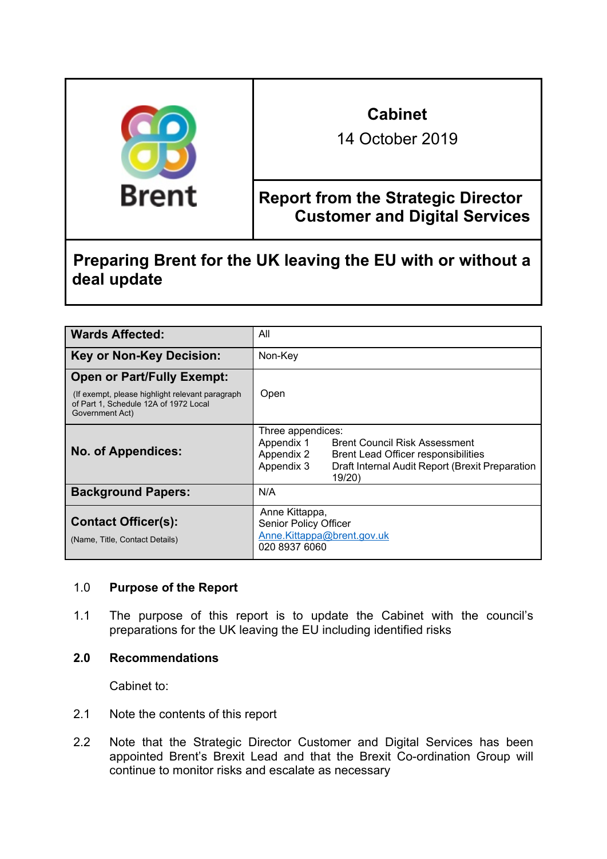| <b>Brent</b> | <b>Cabinet</b><br>14 October 2019                                                 |
|--------------|-----------------------------------------------------------------------------------|
|              | <b>Report from the Strategic Director</b><br><b>Customer and Digital Services</b> |

**Preparing Brent for the UK leaving the EU with or without a deal update**

| <b>Wards Affected:</b>                                                                                                                            | All                                                                                                                                                                                                    |
|---------------------------------------------------------------------------------------------------------------------------------------------------|--------------------------------------------------------------------------------------------------------------------------------------------------------------------------------------------------------|
| <b>Key or Non-Key Decision:</b>                                                                                                                   | Non-Key                                                                                                                                                                                                |
| <b>Open or Part/Fully Exempt:</b><br>(If exempt, please highlight relevant paragraph)<br>of Part 1, Schedule 12A of 1972 Local<br>Government Act) | Open                                                                                                                                                                                                   |
| <b>No. of Appendices:</b>                                                                                                                         | Three appendices:<br>Appendix 1<br><b>Brent Council Risk Assessment</b><br>Appendix 2<br>Brent Lead Officer responsibilities<br>Appendix 3<br>Draft Internal Audit Report (Brexit Preparation<br>19/20 |
| <b>Background Papers:</b>                                                                                                                         | N/A                                                                                                                                                                                                    |
| <b>Contact Officer(s):</b><br>(Name, Title, Contact Details)                                                                                      | Anne Kittappa,<br><b>Senior Policy Officer</b><br>Anne.Kittappa@brent.gov.uk<br>020 8937 6060                                                                                                          |

### 1.0 **Purpose of the Report**

1.1 The purpose of this report is to update the Cabinet with the council's preparations for the UK leaving the EU including identified risks

# **2.0 Recommendations**

Cabinet to:

- 2.1 Note the contents of this report
- 2.2 Note that the Strategic Director Customer and Digital Services has been appointed Brent's Brexit Lead and that the Brexit Co-ordination Group will continue to monitor risks and escalate as necessary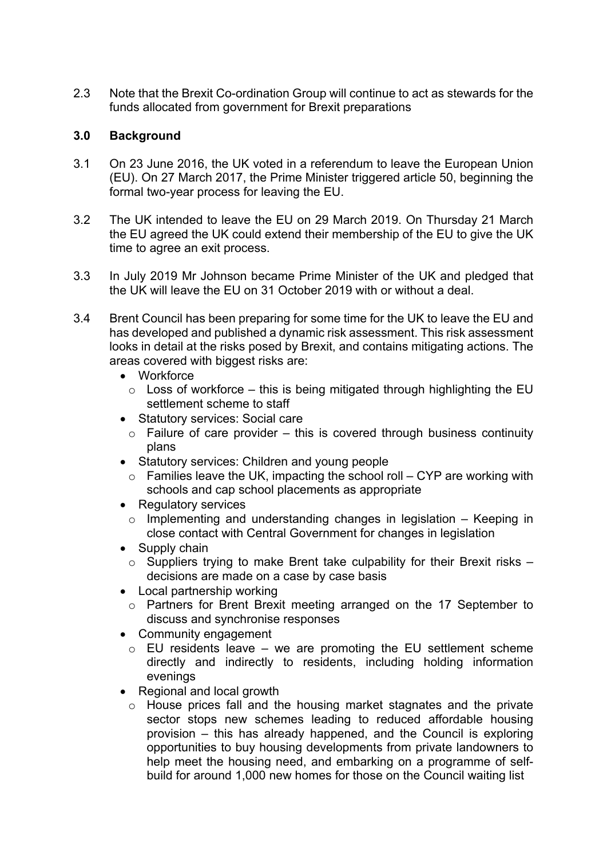2.3 Note that the Brexit Co-ordination Group will continue to act as stewards for the funds allocated from government for Brexit preparations

### **3.0 Background**

- 3.1 On 23 June 2016, the UK voted in a referendum to leave the European Union (EU). On 27 March 2017, the Prime Minister triggered article 50, beginning the formal two-year process for leaving the EU.
- 3.2 The UK intended to leave the EU on 29 March 2019. On Thursday 21 March the EU agreed the UK could extend their membership of the EU to give the UK time to agree an exit process.
- 3.3 In July 2019 Mr Johnson became Prime Minister of the UK and pledged that the UK will leave the EU on 31 October 2019 with or without a deal.
- 3.4 Brent Council has been preparing for some time for the UK to leave the EU and has developed and published a dynamic risk assessment. This risk assessment looks in detail at the risks posed by Brexit, and contains mitigating actions. The areas covered with biggest risks are:
	- Workforce
		- $\circ$  Loss of workforce this is being mitigated through highlighting the EU settlement scheme to staff
	- Statutory services: Social care
		- $\circ$  Failure of care provider this is covered through business continuity plans
	- Statutory services: Children and young people
		- $\circ$  Families leave the UK, impacting the school roll CYP are working with schools and cap school placements as appropriate
	- Regulatory services
		- $\circ$  Implementing and understanding changes in legislation Keeping in close contact with Central Government for changes in legislation
	- Supply chain
		- $\circ$  Suppliers trying to make Brent take culpability for their Brexit risks decisions are made on a case by case basis
	- Local partnership working
		- o Partners for Brent Brexit meeting arranged on the 17 September to discuss and synchronise responses
	- Community engagement
		- $\circ$  EU residents leave we are promoting the EU settlement scheme directly and indirectly to residents, including holding information evenings
	- Regional and local growth
		- o House prices fall and the housing market stagnates and the private sector stops new schemes leading to reduced affordable housing provision – this has already happened, and the Council is exploring opportunities to buy housing developments from private landowners to help meet the housing need, and embarking on a programme of selfbuild for around 1,000 new homes for those on the Council waiting list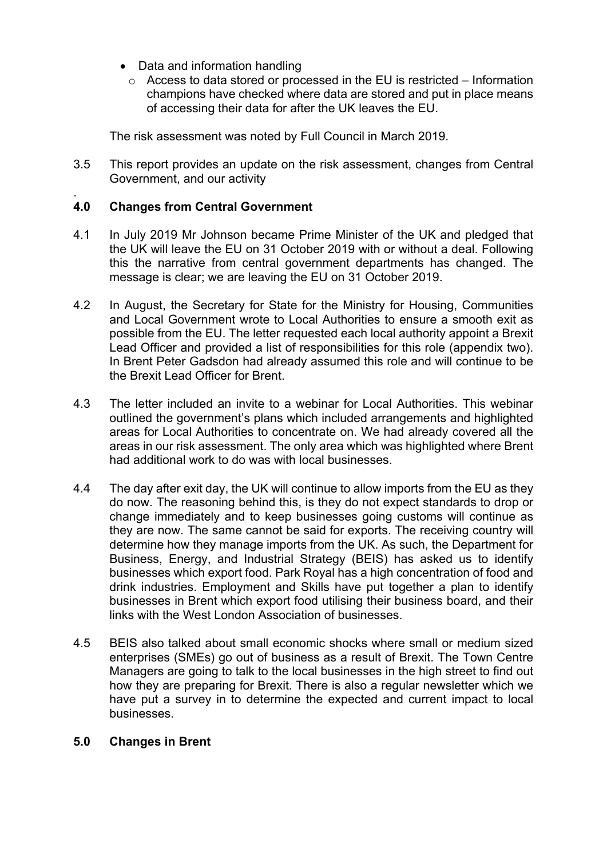- Data and information handling
	- o Access to data stored or processed in the EU is restricted Information champions have checked where data are stored and put in place means of accessing their data for after the UK leaves the EU.

The risk assessment was noted by Full Council in March 2019.

3.5 This report provides an update on the risk assessment, changes from Central Government, and our activity

#### . **4.0 Changes from Central Government**

- 4.1 In July 2019 Mr Johnson became Prime Minister of the UK and pledged that the UK will leave the EU on 31 October 2019 with or without a deal. Following this the narrative from central government departments has changed. The message is clear; we are leaving the EU on 31 October 2019.
- 4.2 In August, the Secretary for State for the Ministry for Housing, Communities and Local Government wrote to Local Authorities to ensure a smooth exit as possible from the EU. The letter requested each local authority appoint a Brexit Lead Officer and provided a list of responsibilities for this role (appendix two). In Brent Peter Gadsdon had already assumed this role and will continue to be the Brexit Lead Officer for Brent.
- 4.3 The letter included an invite to a webinar for Local Authorities. This webinar outlined the government's plans which included arrangements and highlighted areas for Local Authorities to concentrate on. We had already covered all the areas in our risk assessment. The only area which was highlighted where Brent had additional work to do was with local businesses.
- 4.4 The day after exit day, the UK will continue to allow imports from the EU as they do now. The reasoning behind this, is they do not expect standards to drop or change immediately and to keep businesses going customs will continue as they are now. The same cannot be said for exports. The receiving country will determine how they manage imports from the UK. As such, the Department for Business, Energy, and Industrial Strategy (BEIS) has asked us to identify businesses which export food. Park Royal has a high concentration of food and drink industries. Employment and Skills have put together a plan to identify businesses in Brent which export food utilising their business board, and their links with the West London Association of businesses.
- 4.5 BEIS also talked about small economic shocks where small or medium sized enterprises (SMEs) go out of business as a result of Brexit. The Town Centre Managers are going to talk to the local businesses in the high street to find out how they are preparing for Brexit. There is also a regular newsletter which we have put a survey in to determine the expected and current impact to local businesses.

### **5.0 Changes in Brent**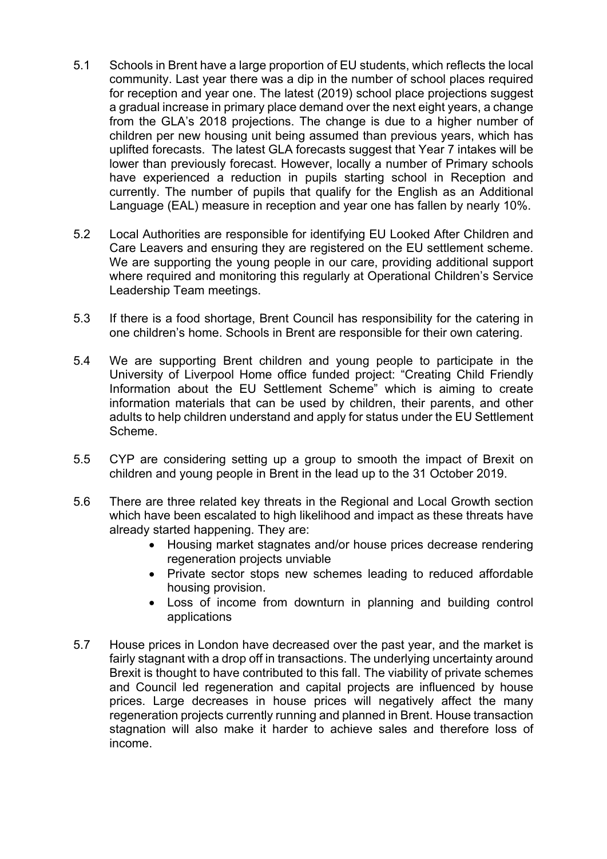- 5.1 Schools in Brent have a large proportion of EU students, which reflects the local community. Last year there was a dip in the number of school places required for reception and year one. The latest (2019) school place projections suggest a gradual increase in primary place demand over the next eight years, a change from the GLA's 2018 projections. The change is due to a higher number of children per new housing unit being assumed than previous years, which has uplifted forecasts. The latest GLA forecasts suggest that Year 7 intakes will be lower than previously forecast. However, locally a number of Primary schools have experienced a reduction in pupils starting school in Reception and currently. The number of pupils that qualify for the English as an Additional Language (EAL) measure in reception and year one has fallen by nearly 10%.
- 5.2 Local Authorities are responsible for identifying EU Looked After Children and Care Leavers and ensuring they are registered on the EU settlement scheme. We are supporting the young people in our care, providing additional support where required and monitoring this regularly at Operational Children's Service Leadership Team meetings.
- 5.3 If there is a food shortage, Brent Council has responsibility for the catering in one children's home. Schools in Brent are responsible for their own catering.
- 5.4 We are supporting Brent children and young people to participate in the University of Liverpool Home office funded project: "Creating Child Friendly Information about the EU Settlement Scheme" which is aiming to create information materials that can be used by children, their parents, and other adults to help children understand and apply for status under the EU Settlement Scheme.
- 5.5 CYP are considering setting up a group to smooth the impact of Brexit on children and young people in Brent in the lead up to the 31 October 2019.
- 5.6 There are three related key threats in the Regional and Local Growth section which have been escalated to high likelihood and impact as these threats have already started happening. They are:
	- Housing market stagnates and/or house prices decrease rendering regeneration projects unviable
	- Private sector stops new schemes leading to reduced affordable housing provision.
	- Loss of income from downturn in planning and building control applications
- 5.7 House prices in London have decreased over the past year, and the market is fairly stagnant with a drop off in transactions. The underlying uncertainty around Brexit is thought to have contributed to this fall. The viability of private schemes and Council led regeneration and capital projects are influenced by house prices. Large decreases in house prices will negatively affect the many regeneration projects currently running and planned in Brent. House transaction stagnation will also make it harder to achieve sales and therefore loss of income.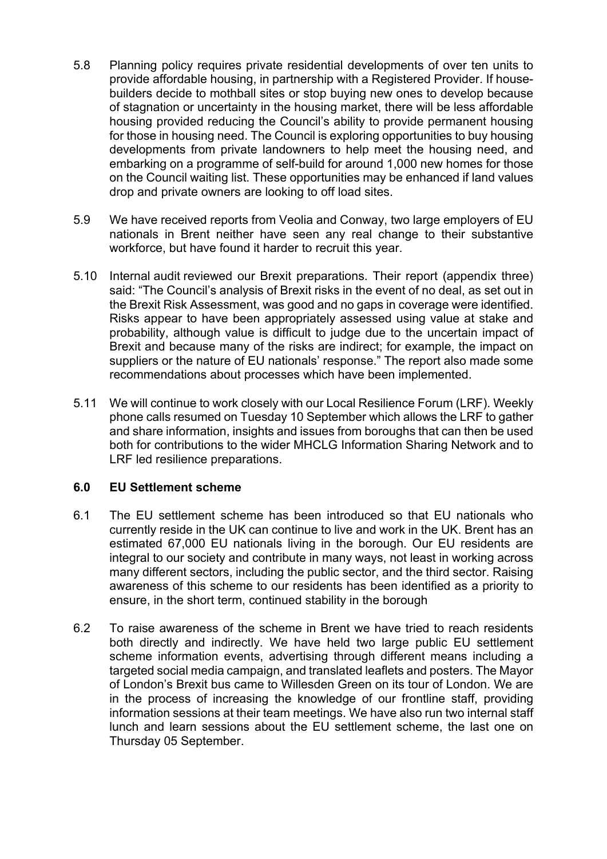- 5.8 Planning policy requires private residential developments of over ten units to provide affordable housing, in partnership with a Registered Provider. If housebuilders decide to mothball sites or stop buying new ones to develop because of stagnation or uncertainty in the housing market, there will be less affordable housing provided reducing the Council's ability to provide permanent housing for those in housing need. The Council is exploring opportunities to buy housing developments from private landowners to help meet the housing need, and embarking on a programme of self-build for around 1,000 new homes for those on the Council waiting list. These opportunities may be enhanced if land values drop and private owners are looking to off load sites.
- 5.9 We have received reports from Veolia and Conway, two large employers of EU nationals in Brent neither have seen any real change to their substantive workforce, but have found it harder to recruit this year.
- 5.10 Internal audit reviewed our Brexit preparations. Their report (appendix three) said: "The Council's analysis of Brexit risks in the event of no deal, as set out in the Brexit Risk Assessment, was good and no gaps in coverage were identified. Risks appear to have been appropriately assessed using value at stake and probability, although value is difficult to judge due to the uncertain impact of Brexit and because many of the risks are indirect; for example, the impact on suppliers or the nature of EU nationals' response." The report also made some recommendations about processes which have been implemented.
- 5.11 We will continue to work closely with our Local Resilience Forum (LRF). Weekly phone calls resumed on Tuesday 10 September which allows the LRF to gather and share information, insights and issues from boroughs that can then be used both for contributions to the wider MHCLG Information Sharing Network and to LRF led resilience preparations.

# **6.0 EU Settlement scheme**

- 6.1 The EU settlement scheme has been introduced so that EU nationals who currently reside in the UK can continue to live and work in the UK. Brent has an estimated 67,000 EU nationals living in the borough. Our EU residents are integral to our society and contribute in many ways, not least in working across many different sectors, including the public sector, and the third sector. Raising awareness of this scheme to our residents has been identified as a priority to ensure, in the short term, continued stability in the borough
- 6.2 To raise awareness of the scheme in Brent we have tried to reach residents both directly and indirectly. We have held two large public EU settlement scheme information events, advertising through different means including a targeted social media campaign, and translated leaflets and posters. The Mayor of London's Brexit bus came to Willesden Green on its tour of London. We are in the process of increasing the knowledge of our frontline staff, providing information sessions at their team meetings. We have also run two internal staff lunch and learn sessions about the EU settlement scheme, the last one on Thursday 05 September.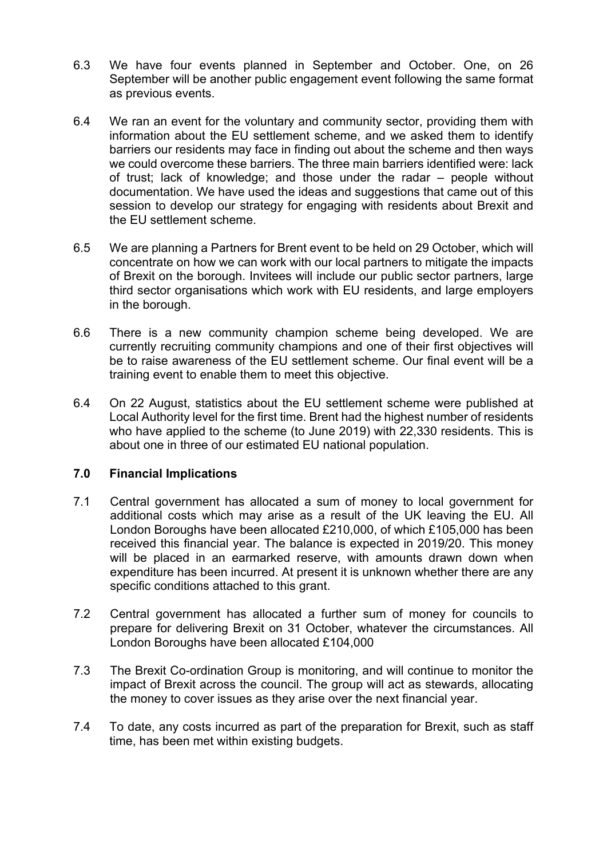- 6.3 We have four events planned in September and October. One, on 26 September will be another public engagement event following the same format as previous events.
- 6.4 We ran an event for the voluntary and community sector, providing them with information about the EU settlement scheme, and we asked them to identify barriers our residents may face in finding out about the scheme and then ways we could overcome these barriers. The three main barriers identified were: lack of trust; lack of knowledge; and those under the radar – people without documentation. We have used the ideas and suggestions that came out of this session to develop our strategy for engaging with residents about Brexit and the EU settlement scheme.
- 6.5 We are planning a Partners for Brent event to be held on 29 October, which will concentrate on how we can work with our local partners to mitigate the impacts of Brexit on the borough. Invitees will include our public sector partners, large third sector organisations which work with EU residents, and large employers in the borough.
- 6.6 There is a new community champion scheme being developed. We are currently recruiting community champions and one of their first objectives will be to raise awareness of the EU settlement scheme. Our final event will be a training event to enable them to meet this objective.
- 6.4 On 22 August, statistics about the EU settlement scheme were published at Local Authority level for the first time. Brent had the highest number of residents who have applied to the scheme (to June 2019) with 22,330 residents. This is about one in three of our estimated EU national population.

### **7.0 Financial Implications**

- 7.1 Central government has allocated a sum of money to local government for additional costs which may arise as a result of the UK leaving the EU. All London Boroughs have been allocated £210,000, of which £105,000 has been received this financial year. The balance is expected in 2019/20. This money will be placed in an earmarked reserve, with amounts drawn down when expenditure has been incurred. At present it is unknown whether there are any specific conditions attached to this grant.
- 7.2 Central government has allocated a further sum of money for councils to prepare for delivering Brexit on 31 October, whatever the circumstances. All London Boroughs have been allocated £104,000
- 7.3 The Brexit Co-ordination Group is monitoring, and will continue to monitor the impact of Brexit across the council. The group will act as stewards, allocating the money to cover issues as they arise over the next financial year.
- 7.4 To date, any costs incurred as part of the preparation for Brexit, such as staff time, has been met within existing budgets.